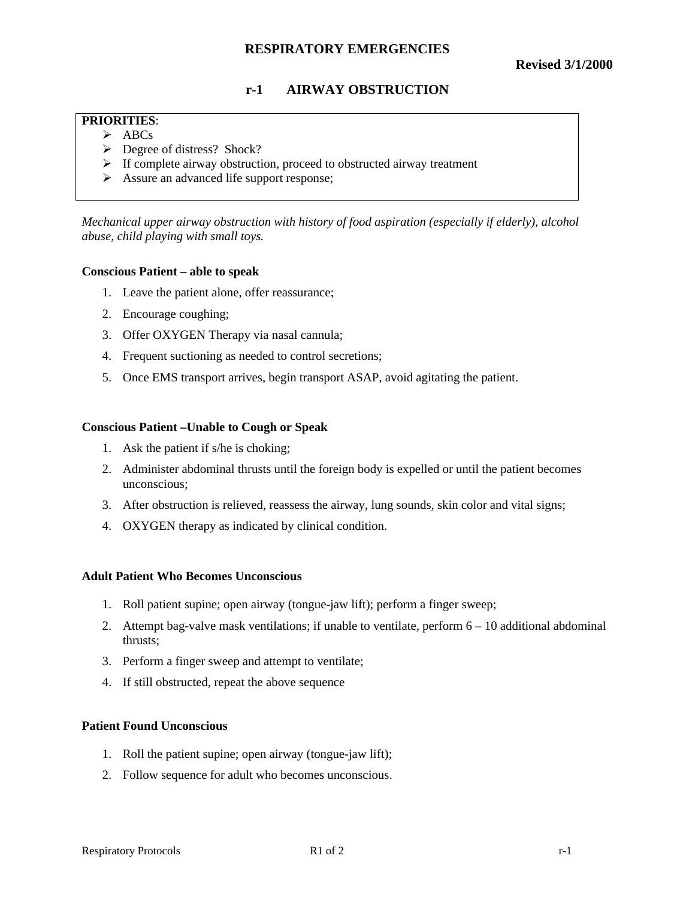# **RESPIRATORY EMERGENCIES**

# **r-1 AIRWAY OBSTRUCTION**

# **PRIORITIES**:

- $\triangleright$  ABCs
- ÿ Degree of distress? Shock?
- $\triangleright$  If complete airway obstruction, proceed to obstructed airway treatment
- $\triangleright$  Assure an advanced life support response;

*Mechanical upper airway obstruction with history of food aspiration (especially if elderly), alcohol abuse, child playing with small toys.*

## **Conscious Patient – able to speak**

- 1. Leave the patient alone, offer reassurance;
- 2. Encourage coughing;
- 3. Offer OXYGEN Therapy via nasal cannula;
- 4. Frequent suctioning as needed to control secretions;
- 5. Once EMS transport arrives, begin transport ASAP, avoid agitating the patient.

#### **Conscious Patient –Unable to Cough or Speak**

- 1. Ask the patient if s/he is choking;
- 2. Administer abdominal thrusts until the foreign body is expelled or until the patient becomes unconscious;
- 3. After obstruction is relieved, reassess the airway, lung sounds, skin color and vital signs;
- 4. OXYGEN therapy as indicated by clinical condition.

#### **Adult Patient Who Becomes Unconscious**

- 1. Roll patient supine; open airway (tongue-jaw lift); perform a finger sweep;
- 2. Attempt bag-valve mask ventilations; if unable to ventilate, perform 6 10 additional abdominal thrusts;
- 3. Perform a finger sweep and attempt to ventilate;
- 4. If still obstructed, repeat the above sequence

## **Patient Found Unconscious**

- 1. Roll the patient supine; open airway (tongue-jaw lift);
- 2. Follow sequence for adult who becomes unconscious.